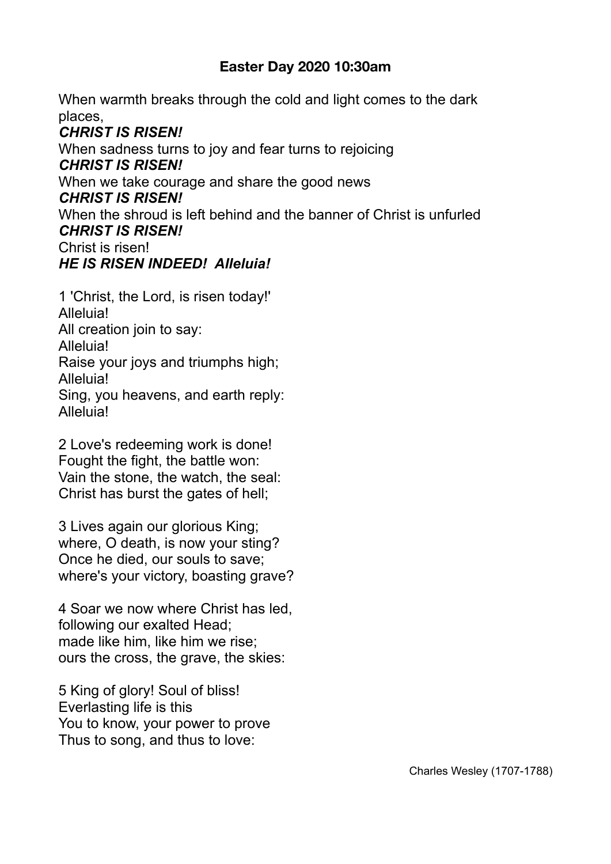## **Easter Day 2020 10:30am**

When warmth breaks through the cold and light comes to the dark places,

*CHRIST IS RISEN!*  When sadness turns to joy and fear turns to rejoicing *CHRIST IS RISEN!*  When we take courage and share the good news *CHRIST IS RISEN!*  When the shroud is left behind and the banner of Christ is unfurled *CHRIST IS RISEN!*  Christ is risen! *HE IS RISEN INDEED! Alleluia!* 

1 'Christ, the Lord, is risen today!' Alleluia! All creation join to say: Alleluia! Raise your joys and triumphs high; Alleluia! Sing, you heavens, and earth reply: **Alleluia!** 

2 Love's redeeming work is done! Fought the fight, the battle won: Vain the stone, the watch, the seal: Christ has burst the gates of hell;

3 Lives again our glorious King; where, O death, is now your sting? Once he died, our souls to save; where's your victory, boasting grave?

4 Soar we now where Christ has led, following our exalted Head; made like him, like him we rise; ours the cross, the grave, the skies:

5 King of glory! Soul of bliss! Everlasting life is this You to know, your power to prove Thus to song, and thus to love: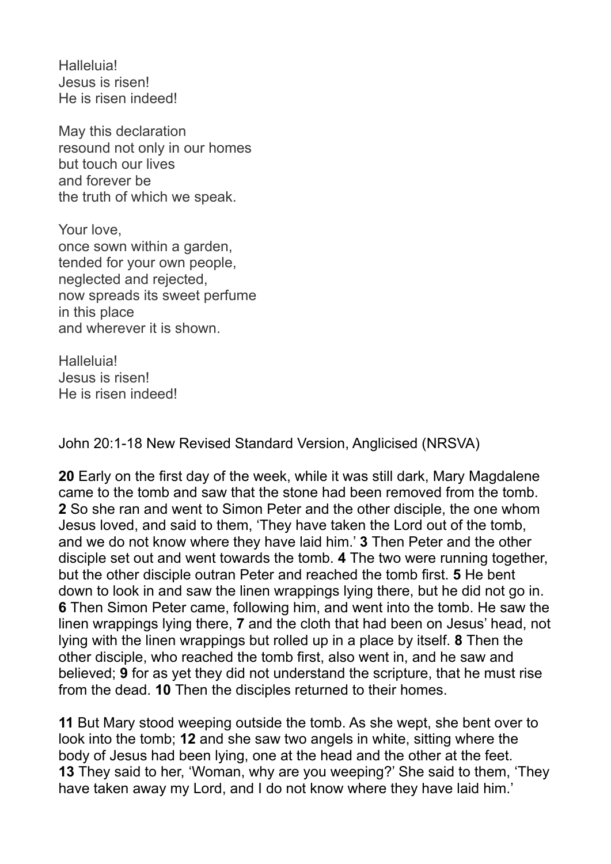Halleluia! Jesus is risen! He is risen indeed!

May this declaration resound not only in our homes but touch our lives and forever be the truth of which we speak.

Your love, once sown within a garden, tended for your own people, neglected and rejected, now spreads its sweet perfume in this place and wherever it is shown.

Halleluia! Jesus is risen! He is risen indeed!

John 20:1-18 New Revised Standard Version, Anglicised (NRSVA)

**20** Early on the first day of the week, while it was still dark, Mary Magdalene came to the tomb and saw that the stone had been removed from the tomb. **2** So she ran and went to Simon Peter and the other disciple, the one whom Jesus loved, and said to them, 'They have taken the Lord out of the tomb, and we do not know where they have laid him.' **3** Then Peter and the other disciple set out and went towards the tomb. **4** The two were running together, but the other disciple outran Peter and reached the tomb first. **5** He bent down to look in and saw the linen wrappings lying there, but he did not go in. **6** Then Simon Peter came, following him, and went into the tomb. He saw the linen wrappings lying there, **7** and the cloth that had been on Jesus' head, not lying with the linen wrappings but rolled up in a place by itself. **8** Then the other disciple, who reached the tomb first, also went in, and he saw and believed; **9** for as yet they did not understand the scripture, that he must rise from the dead. **10** Then the disciples returned to their homes.

**11** But Mary stood weeping outside the tomb. As she wept, she bent over to look into the tomb; **12** and she saw two angels in white, sitting where the body of Jesus had been lying, one at the head and the other at the feet. **13** They said to her, 'Woman, why are you weeping?' She said to them, 'They have taken away my Lord, and I do not know where they have laid him.'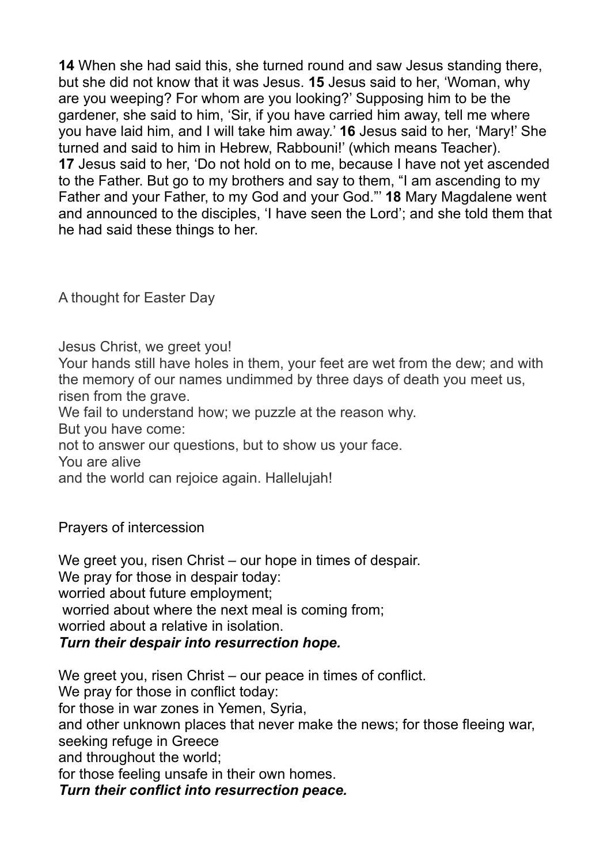**14** When she had said this, she turned round and saw Jesus standing there, but she did not know that it was Jesus. **15** Jesus said to her, 'Woman, why are you weeping? For whom are you looking?' Supposing him to be the gardener, she said to him, 'Sir, if you have carried him away, tell me where you have laid him, and I will take him away.' **16** Jesus said to her, 'Mary!' She turned and said to him in Hebrew, Rabbouni!' (which means Teacher). **17** Jesus said to her, 'Do not hold on to me, because I have not yet ascended to the Father. But go to my brothers and say to them, "I am ascending to my Father and your Father, to my God and your God."' **18** Mary Magdalene went and announced to the disciples, 'I have seen the Lord'; and she told them that he had said these things to her.

A thought for Easter Day

Jesus Christ, we greet you!

Your hands still have holes in them, your feet are wet from the dew; and with the memory of our names undimmed by three days of death you meet us, risen from the grave.

We fail to understand how; we puzzle at the reason why.

But you have come:

not to answer our questions, but to show us your face.

You are alive

and the world can rejoice again. Hallelujah!

Prayers of intercession

We greet you, risen Christ – our hope in times of despair. We pray for those in despair today: worried about future employment; worried about where the next meal is coming from; worried about a relative in isolation. *Turn their despair into resurrection hope.* 

We greet you, risen Christ – our peace in times of conflict. We pray for those in conflict today: for those in war zones in Yemen, Syria, and other unknown places that never make the news; for those fleeing war, seeking refuge in Greece and throughout the world; for those feeling unsafe in their own homes. *Turn their conflict into resurrection peace.*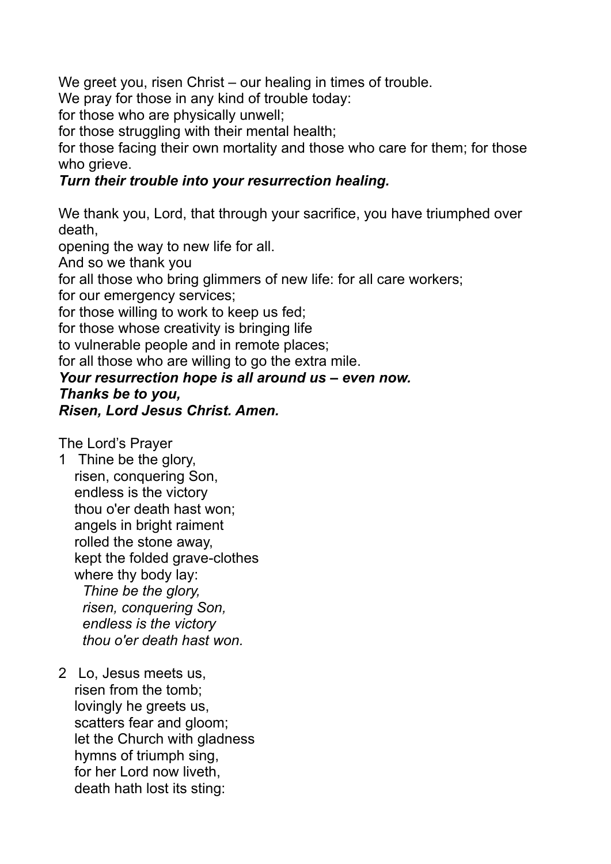We greet you, risen Christ – our healing in times of trouble.

We pray for those in any kind of trouble today:

for those who are physically unwell;

for those struggling with their mental health;

for those facing their own mortality and those who care for them; for those who grieve.

## *Turn their trouble into your resurrection healing.*

We thank you, Lord, that through your sacrifice, you have triumphed over death,

opening the way to new life for all.

And so we thank you

for all those who bring glimmers of new life: for all care workers;

for our emergency services;

for those willing to work to keep us fed;

for those whose creativity is bringing life

to vulnerable people and in remote places;

for all those who are willing to go the extra mile.

## *Your resurrection hope is all around us – even now.*

*Thanks be to you, Risen, Lord Jesus Christ. Amen.* 

The Lord's Prayer

1 Thine be the glory, risen, conquering Son, endless is the victory thou o'er death hast won; angels in bright raiment rolled the stone away, kept the folded grave-clothes where thy body lay: *Thine be the glory, risen, conquering Son, endless is the victory thou o'er death hast won.* 

2 Lo, Jesus meets us, risen from the tomb; lovingly he greets us, scatters fear and gloom; let the Church with gladness hymns of triumph sing, for her Lord now liveth, death hath lost its sting: